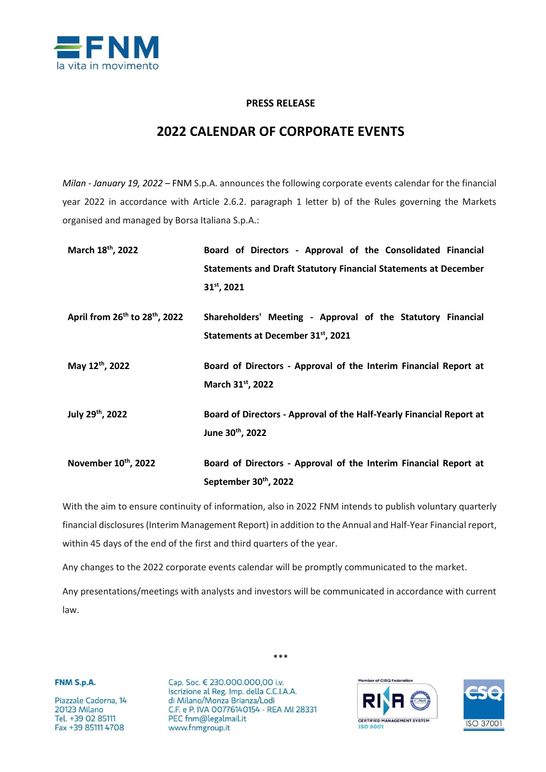

## **PRESS RELEASE**

## **2022 CALENDAR OF CORPORATE EVENTS**

*Milan - January 19, 2022* – FNM S.p.A. announces the following corporate events calendar for the financial year 2022 in accordance with Article 2.6.2. paragraph 1 letter b) of the Rules governing the Markets organised and managed by Borsa Italiana S.p.A.:

| March 18 <sup>th</sup> , 2022                          | Board of Directors - Approval of the Consolidated Financial            |
|--------------------------------------------------------|------------------------------------------------------------------------|
|                                                        | <b>Statements and Draft Statutory Financial Statements at December</b> |
|                                                        | $31^{st}$ , 2021                                                       |
| April from 26 <sup>th</sup> to 28 <sup>th</sup> , 2022 | Shareholders' Meeting - Approval of the Statutory Financial            |
|                                                        | Statements at December 31 <sup>st</sup> , 2021                         |
| May 12th, 2022                                         | Board of Directors - Approval of the Interim Financial Report at       |
|                                                        | March 31 <sup>st</sup> , 2022                                          |
| July 29 <sup>th</sup> , 2022                           | Board of Directors - Approval of the Half-Yearly Financial Report at   |
|                                                        | June 30th, 2022                                                        |
| November 10th, 2022                                    | Board of Directors - Approval of the Interim Financial Report at       |
|                                                        | September 30th, 2022                                                   |

With the aim to ensure continuity of information, also in 2022 FNM intends to publish voluntary quarterly financial disclosures (Interim Management Report) in addition to the Annual and Half-Year Financial report, within 45 days of the end of the first and third quarters of the year.

Any changes to the 2022 corporate events calendar will be promptly communicated to the market.

Any presentations/meetings with analysts and investors will be communicated in accordance with current law.

FNM S.p.A.

Piazzale Cadorna, 14 20123 Milano Tel. +39 02 85111 Fax +39 85111 4708

Cap. Soc. € 230.000.000,00 i.v. Iscrizione al Reg. Imp. della C.C.I.A.A. di Milano/Monza Brianza/Lodi C.F. e P. IVA 00776140154 - REA MI 28331 PEC fnm@legalmail.it www.fnmgroup.it





\*\*\*